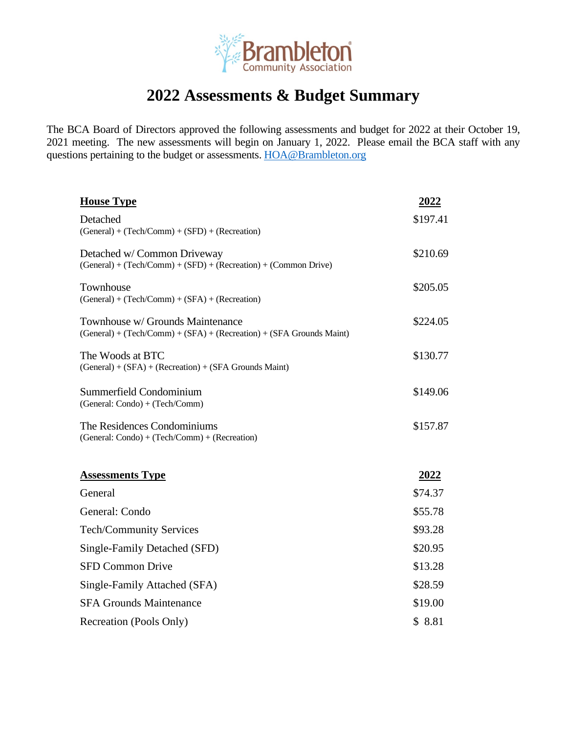

## **2022 Assessments & Budget Summary**

The BCA Board of Directors approved the following assessments and budget for 2022 at their October 19, 2021 meeting. The new assessments will begin on January 1, 2022. Please email the BCA staff with any questions pertaining to the budget or assessments. HOA@Brambleton.org

| <b>House Type</b>                                                                                           | <u>2022</u> |
|-------------------------------------------------------------------------------------------------------------|-------------|
| Detached                                                                                                    | \$197.41    |
| $(General) + (Techn/Comm) + (SFD) + (Recreation)$                                                           |             |
| Detached w/ Common Driveway<br>$(General) + (Techn/Comm) + (SFD) + (Recreation) + (Common Drive)$           | \$210.69    |
| Townhouse<br>$(General) + (Techn/Comm) + (SFA) + (Recreation)$                                              | \$205.05    |
| Townhouse w/ Grounds Maintenance<br>$(General) + (Techn/Comm) + (SFA) + (Recreation) + (SFA Grounds Maint)$ | \$224.05    |
| The Woods at BTC<br>$(General) + (SFA) + (Recreation) + (SFA \, Grounds \, Maint)$                          | \$130.77    |
| Summerfield Condominium<br>(General: Condo) + (Tech/Comm)                                                   | \$149.06    |
| The Residences Condominiums<br>(General: Condo) + (Tech/Comm) + (Recreation)                                | \$157.87    |
|                                                                                                             |             |
| <b>Assessments Type</b>                                                                                     | <u>2022</u> |
| General                                                                                                     | \$74.37     |
| General: Condo                                                                                              | \$55.78     |
| <b>Tech/Community Services</b>                                                                              | \$93.28     |
| Single-Family Detached (SFD)                                                                                | \$20.95     |
| <b>SFD Common Drive</b>                                                                                     | \$13.28     |
| Single-Family Attached (SFA)                                                                                | \$28.59     |
| <b>SFA Grounds Maintenance</b>                                                                              | \$19.00     |
| Recreation (Pools Only)                                                                                     | \$8.81      |